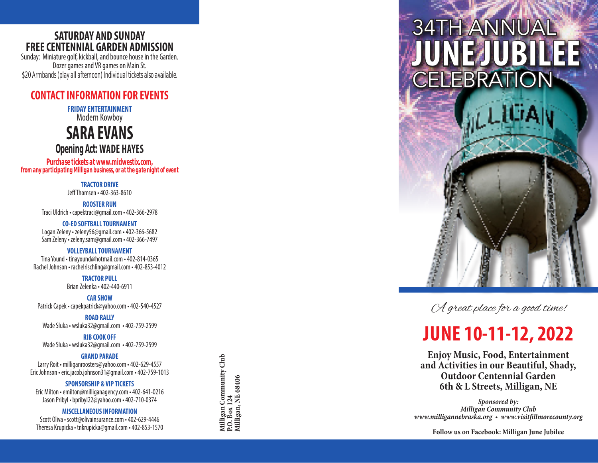### **SATURDAY AND SUNDAY FREE CENTENNIAL GARDEN ADMISSION**

Sunday: Miniature golf, kickball, and bounce house in the Garden. Dozer games and VR games on Main St. *\$20 Armbands (play all afternoon) Individual tickets also available.*

### **CONTACT INFORMATION FOR EVENTS**

**FRIDAY ENTERTAINMENT** Modern Kowboy

**SARA EVANS**

*Opening Act:***WADE HAYES**

*Purchase tickets at www.midwestix.com, from any participating Milligan business, or at the gate night of event*

> **TRACTOR DRIVE** Jeff Thomsen • 402-363-8610

**ROOSTER RUN** Traci Uldrich • capektraci@gmail.com • 402-366-2978

**CO-ED SOFTBALL TOURNAMENT** Logan Zeleny • zeleny56@gmail.com • 402-366-5682 Sam Zeleny • zeleny.sam@gmail.com • 402-366-7497

### **VOLLEYBALL TOURNAMENT**

Tina Yound • tinayound@hotmail.com • 402-814-0365 Rachel Johnson • rachelrischling@gmail.com • 402-853-4012

**TRACTOR PULL**

Brian Zelenka • 402-440-6911

**CAR SHOW** Patrick Capek • capekpatrick@yahoo.com • 402-540-4527

**ROAD RALLY** Wade Sluka • wsluka32@gmail.com • 402-759-2599

**RIB COOK OFF** Wade Sluka • wsluka32@gmail.com • 402-759-2599

#### **GRAND PARADE**

Larry Roit • milliganroosters@yahoo.com • 402-629-4557 Eric Johnson • eric.jacob.johnson31@gmail.com • 402-759-1013

**SPONSORSHIP & VIP TICKETS**

Eric Milton • emilton@milliganagency.com • 402-641-0216 Jason Pribyl • bpribyl22@yahoo.com • 402-710-0374

#### **MISCELLANEOUS INFORMATION**

Scott Oliva • scott@olivainsurance.com • 402-629-4446 Theresa Krupicka • tnkrupicka@gmail.com • 402-853-1570 Milligan Community Club<br>P.O. Box 124<br>Milligan, NE 68406 **Milligan Community Club Milligan, NE 68406 P.O. Box 124**



A great place for a good time!

# **JUNE 10-11-12, 2022**

**Enjoy Music, Food, Entertainment and Activities in our Beautiful, Shady, Outdoor Centennial Garden 6th & L Streets, Milligan, NE**

*Sponsored by: Milligan Community Club www.milligannebraska.org • www.visitfillmorecounty.org*

**Follow us on Facebook: Milligan June Jubilee**